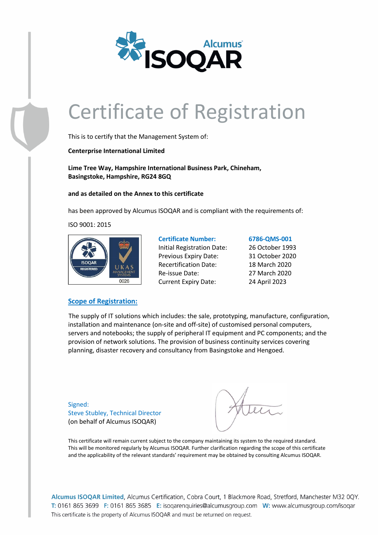

# Certificate of Registration

This is to certify that the Management System of:

**Centerprise International Limited**

**Lime Tree Way, Hampshire International Business Park, Chineham, Basingstoke, Hampshire, RG24 8GQ**

**and as detailed on the Annex to this certificate**

has been approved by Alcumus ISOQAR and is compliant with the requirements of:

ISO 9001: 2015



**Certificate Number: 6786-QMS-001** Initial Registration Date: 26 October 1993 Previous Expiry Date: 31 October 2020 Recertification Date: 18 March 2020 Re-issue Date: 27 March 2020 Current Expiry Date: 24 April 2023

### **Scope of Registration:**

The supply of IT solutions which includes: the sale, prototyping, manufacture, configuration, installation and maintenance (on-site and off-site) of customised personal computers, servers and notebooks; the supply of peripheral IT equipment and PC components; and the provision of network solutions. The provision of business continuity services covering planning, disaster recovery and consultancy from Basingstoke and Hengoed.

Signed: Steve Stubley, Technical Director (on behalf of Alcumus ISOQAR)

This certificate will remain current subject to the company maintaining its system to the required standard. This will be monitored regularly by Alcumus ISOQAR. Further clarification regarding the scope of this certificate and the applicability of the relevant standards' requirement may be obtained by consulting Alcumus ISOQAR.

Alcumus ISOQAR Limited, Alcumus Certification, Cobra Court, 1 Blackmore Road, Stretford, Manchester M32 0QY. T: 0161 865 3699 F: 0161 865 3685 E: isogarenguiries@alcumusgroup.com W: www.alcumusgroup.com/isogar This certificate is the property of Alcumus ISOQAR and must be returned on request.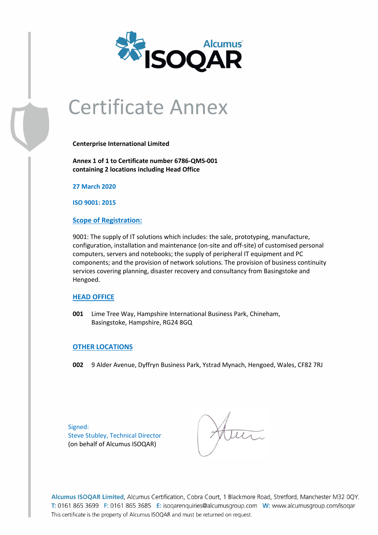

# Certificate Annex

**Centerprise International Limited**

**Annex 1 of 1 to Certificate number 6786-QMS-001 containing 2 locations including Head Office**

**27 March 2020**

**ISO 9001: 2015**

## **Scope of Registration:**

9001: The supply of IT solutions which includes: the sale, prototyping, manufacture, configuration, installation and maintenance (on-site and off-site) of customised personal computers, servers and notebooks; the supply of peripheral IT equipment and PC components; and the provision of network solutions. The provision of business continuity services covering planning, disaster recovery and consultancy from Basingstoke and Hengoed.

# **HEAD OFFICE**

**001** Lime Tree Way, Hampshire International Business Park, Chineham, Basingstoke, Hampshire, RG24 8GQ

# **OTHER LOCATIONS**

**002** 9 Alder Avenue, Dyffryn Business Park, Ystrad Mynach, Hengoed, Wales, CF82 7RJ

Signed: Steve Stubley, Technical Director (on behalf of Alcumus ISOQAR)

Alcumus ISOQAR Limited, Alcumus Certification, Cobra Court, 1 Blackmore Road, Stretford, Manchester M32 0QY. T: 0161 865 3699 F: 0161 865 3685 E: isoqarenquiries@alcumusgroup.com W: www.alcumusgroup.com/isoqar This certificate is the property of Alcumus ISOQAR and must be returned on request.